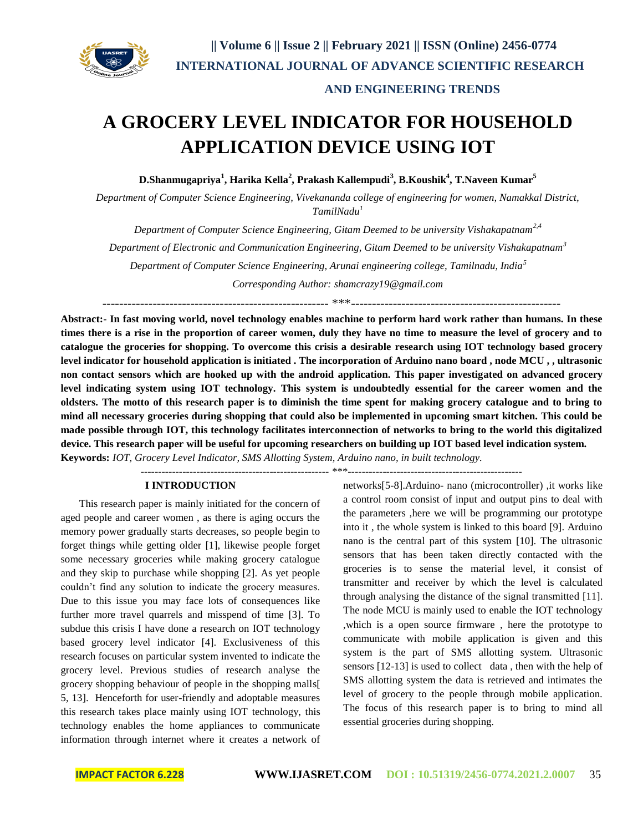

# **A GROCERY LEVEL INDICATOR FOR HOUSEHOLD APPLICATION DEVICE USING IOT**

**D.Shanmugapriya<sup>1</sup> , Harika Kella<sup>2</sup> , Prakash Kallempudi<sup>3</sup> , B.Koushik<sup>4</sup> , T.Naveen Kumar<sup>5</sup>**

*Department of Computer Science Engineering, Vivekananda college of engineering for women, Namakkal District, TamilNadu<sup>1</sup>*

*Department of Computer Science Engineering, Gitam Deemed to be university Vishakapatnam2,4 Department of Electronic and Communication Engineering, Gitam Deemed to be university Vishakapatnam<sup>3</sup> Department of Computer Science Engineering, Arunai engineering college, Tamilnadu, India<sup>5</sup> Corresponding Author: [shamcrazy19@gmail.com](mailto:shamcrazy19@gmail.com)*

------------------------------------------------------ \*\*\*--------------------------------------------------

**Abstract:- In fast moving world, novel technology enables machine to perform hard work rather than humans. In these times there is a rise in the proportion of career women, duly they have no time to measure the level of grocery and to catalogue the groceries for shopping. To overcome this crisis a desirable research using IOT technology based grocery level indicator for household application is initiated . The incorporation of Arduino nano board , node MCU , , ultrasonic non contact sensors which are hooked up with the android application. This paper investigated on advanced grocery level indicating system using IOT technology. This system is undoubtedly essential for the career women and the oldsters. The motto of this research paper is to diminish the time spent for making grocery catalogue and to bring to mind all necessary groceries during shopping that could also be implemented in upcoming smart kitchen. This could be made possible through IOT, this technology facilitates interconnection of networks to bring to the world this digitalized device. This research paper will be useful for upcoming researchers on building up IOT based level indication system. Keywords:** *IOT, Grocery Level Indicator, SMS Allotting System, Arduino nano, in built technology.*

------------------------------------------------------ \*\*\*--------------------------------------------------

#### **I INTRODUCTION**

 This research paper is mainly initiated for the concern of aged people and career women , as there is aging occurs the memory power gradually starts decreases, so people begin to forget things while getting older [1], likewise people forget some necessary groceries while making grocery catalogue and they skip to purchase while shopping [2]. As yet people couldn't find any solution to indicate the grocery measures. Due to this issue you may face lots of consequences like further more travel quarrels and misspend of time [3]. To subdue this crisis I have done a research on IOT technology based grocery level indicator [4]. Exclusiveness of this research focuses on particular system invented to indicate the grocery level. Previous studies of research analyse the grocery shopping behaviour of people in the shopping malls[ 5, 13]. Henceforth for user-friendly and adoptable measures this research takes place mainly using IOT technology, this technology enables the home appliances to communicate information through internet where it creates a network of networks[5-8].Arduino- nano (microcontroller) ,it works like a control room consist of input and output pins to deal with the parameters ,here we will be programming our prototype into it , the whole system is linked to this board [9]. Arduino nano is the central part of this system [10]. The ultrasonic sensors that has been taken directly contacted with the groceries is to sense the material level, it consist of transmitter and receiver by which the level is calculated through analysing the distance of the signal transmitted [11]. The node MCU is mainly used to enable the IOT technology ,which is a open source firmware , here the prototype to communicate with mobile application is given and this system is the part of SMS allotting system. Ultrasonic sensors [12-13] is used to collect data , then with the help of SMS allotting system the data is retrieved and intimates the level of grocery to the people through mobile application. The focus of this research paper is to bring to mind all essential groceries during shopping.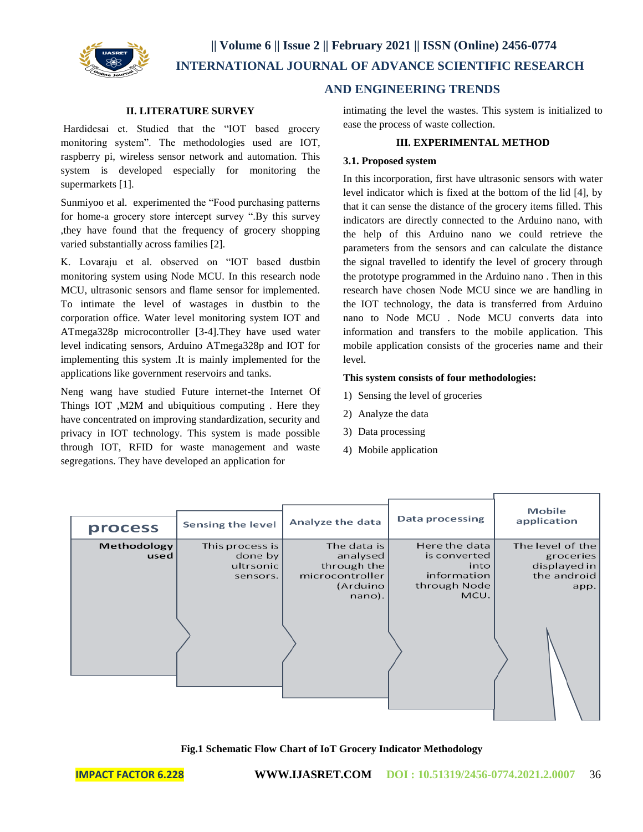

## **|| Volume 6 || Issue 2 || February 2021 || ISSN (Online) 2456-0774 INTERNATIONAL JOURNAL OF ADVANCE SCIENTIFIC RESEARCH**

#### **II. LITERATURE SURVEY**

Hardidesai et. Studied that the "IOT based grocery monitoring system". The methodologies used are IOT, raspberry pi, wireless sensor network and automation. This system is developed especially for monitoring the supermarkets [1].

Sunmiyoo et al. experimented the "Food purchasing patterns for home-a grocery store intercept survey ".By this survey ,they have found that the frequency of grocery shopping varied substantially across families [2].

K. Lovaraju et al. observed on "IOT based dustbin monitoring system using Node MCU. In this research node MCU, ultrasonic sensors and flame sensor for implemented. To intimate the level of wastages in dustbin to the corporation office. Water level monitoring system IOT and ATmega328p microcontroller [3-4].They have used water level indicating sensors, Arduino ATmega328p and IOT for implementing this system .It is mainly implemented for the applications like government reservoirs and tanks.

Neng wang have studied Future internet-the Internet Of Things IOT ,M2M and ubiquitious computing . Here they have concentrated on improving standardization, security and privacy in IOT technology. This system is made possible through IOT, RFID for waste management and waste segregations. They have developed an application for

#### **AND ENGINEERING TRENDS**

intimating the level the wastes. This system is initialized to ease the process of waste collection.

#### **III. EXPERIMENTAL METHOD**

#### **3.1. Proposed system**

In this incorporation, first have ultrasonic sensors with water level indicator which is fixed at the bottom of the lid [4], by that it can sense the distance of the grocery items filled. This indicators are directly connected to the Arduino nano, with the help of this Arduino nano we could retrieve the parameters from the sensors and can calculate the distance the signal travelled to identify the level of grocery through the prototype programmed in the Arduino nano . Then in this research have chosen Node MCU since we are handling in the IOT technology, the data is transferred from Arduino nano to Node MCU . Node MCU converts data into information and transfers to the mobile application. This mobile application consists of the groceries name and their level.

#### **This system consists of four methodologies:**

- 1) Sensing the level of groceries
- 2) Analyze the data
- 3) Data processing
- 4) Mobile application

| process             | Sensing the level                                   | Analyze the data                                                                | Data processing                                                              | Mobile<br>application                                                |
|---------------------|-----------------------------------------------------|---------------------------------------------------------------------------------|------------------------------------------------------------------------------|----------------------------------------------------------------------|
| Methodology<br>used | This process is<br>done by<br>ultrsonic<br>sensors. | The data is<br>analysed<br>through the<br>microcontroller<br>(Arduino<br>nano). | Here the data<br>is converted<br>into<br>information<br>through Node<br>MCU. | The level of the<br>groceries<br>displayed in<br>the android<br>app. |

**Fig.1 Schematic Flow Chart of IoT Grocery Indicator Methodology**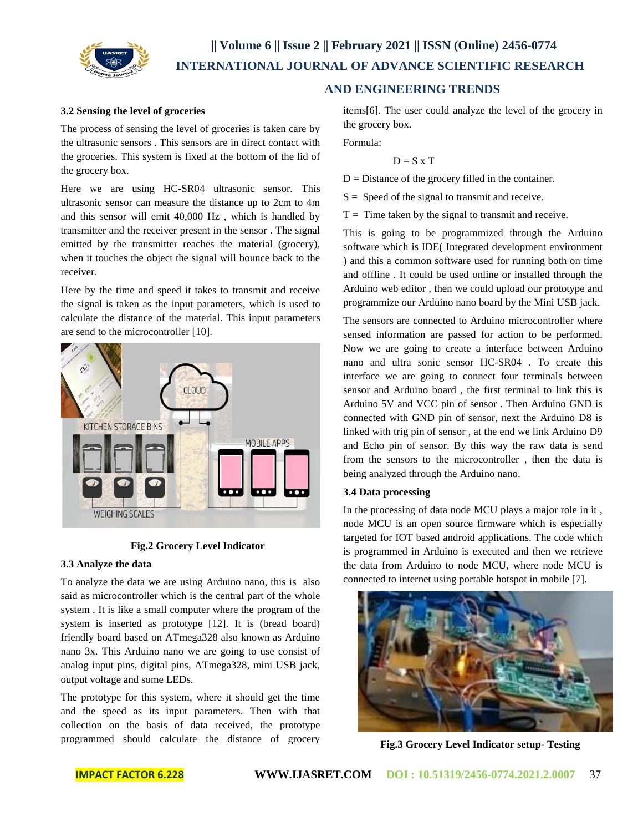

## **|| Volume 6 || Issue 2 || February 2021 || ISSN (Online) 2456-0774 INTERNATIONAL JOURNAL OF ADVANCE SCIENTIFIC RESEARCH**

## **AND ENGINEERING TRENDS**

#### **3.2 Sensing the level of groceries**

The process of sensing the level of groceries is taken care by the ultrasonic sensors . This sensors are in direct contact with the groceries. This system is fixed at the bottom of the lid of the grocery box.

Here we are using HC-SR04 ultrasonic sensor. This ultrasonic sensor can measure the distance up to 2cm to 4m and this sensor will emit 40,000 Hz , which is handled by transmitter and the receiver present in the sensor . The signal emitted by the transmitter reaches the material (grocery), when it touches the object the signal will bounce back to the receiver.

Here by the time and speed it takes to transmit and receive the signal is taken as the input parameters, which is used to calculate the distance of the material. This input parameters are send to the microcontroller [10].



#### **Fig.2 Grocery Level Indicator**

#### **3.3 Analyze the data**

To analyze the data we are using Arduino nano, this is also said as microcontroller which is the central part of the whole system . It is like a small computer where the program of the system is inserted as prototype [12]. It is (bread board) friendly board based on ATmega328 also known as Arduino nano 3x. This Arduino nano we are going to use consist of analog input pins, digital pins, ATmega328, mini USB jack, output voltage and some LEDs.

The prototype for this system, where it should get the time and the speed as its input parameters. Then with that collection on the basis of data received, the prototype programmed should calculate the distance of grocery items[6]. The user could analyze the level of the grocery in the grocery box.

Formula:

$$
D = S \times T
$$

 $D = Distance$  of the grocery filled in the container.

 $S =$  Speed of the signal to transmit and receive.

 $T =$ Time taken by the signal to transmit and receive.

This is going to be programmized through the Arduino software which is IDE( Integrated development environment ) and this a common software used for running both on time and offline . It could be used online or installed through the Arduino web editor , then we could upload our prototype and programmize our Arduino nano board by the Mini USB jack.

The sensors are connected to Arduino microcontroller where sensed information are passed for action to be performed. Now we are going to create a interface between Arduino nano and ultra sonic sensor HC-SR04 . To create this interface we are going to connect four terminals between sensor and Arduino board , the first terminal to link this is Arduino 5V and VCC pin of sensor . Then Arduino GND is connected with GND pin of sensor, next the Arduino D8 is linked with trig pin of sensor , at the end we link Arduino D9 and Echo pin of sensor. By this way the raw data is send from the sensors to the microcontroller , then the data is being analyzed through the Arduino nano.

#### **3.4 Data processing**

In the processing of data node MCU plays a major role in it , node MCU is an open source firmware which is especially targeted for IOT based android applications. The code which is programmed in Arduino is executed and then we retrieve the data from Arduino to node MCU, where node MCU is connected to internet using portable hotspot in mobile [7].



**Fig.3 Grocery Level Indicator setup- Testing**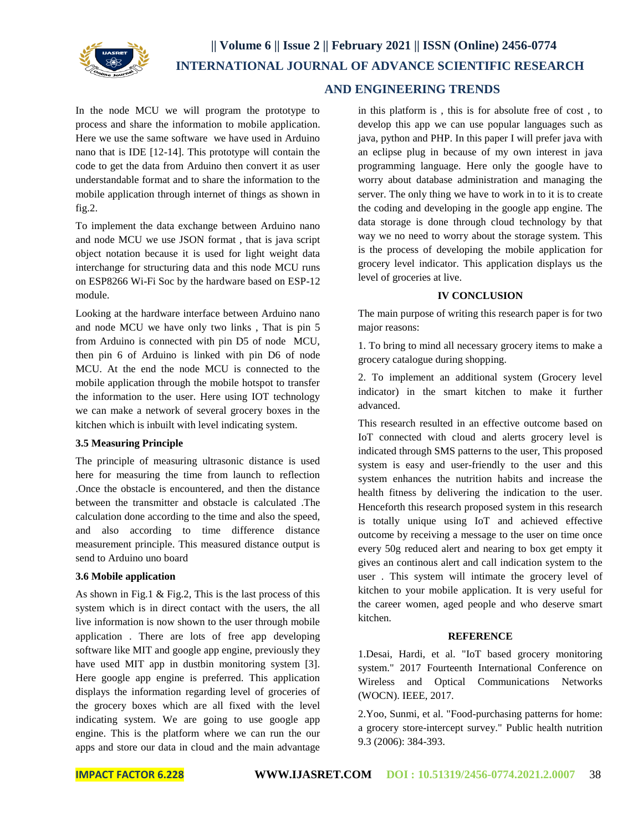

In the node MCU we will program the prototype to process and share the information to mobile application. Here we use the same software we have used in Arduino nano that is IDE [12-14]. This prototype will contain the code to get the data from Arduino then convert it as user understandable format and to share the information to the mobile application through internet of things as shown in fig.2.

To implement the data exchange between Arduino nano and node MCU we use JSON format , that is java script object notation because it is used for light weight data interchange for structuring data and this node MCU runs on ESP8266 Wi-Fi Soc by the hardware based on ESP-12 module.

Looking at the hardware interface between Arduino nano and node MCU we have only two links , That is pin 5 from Arduino is connected with pin D5 of node MCU, then pin 6 of Arduino is linked with pin D6 of node MCU. At the end the node MCU is connected to the mobile application through the mobile hotspot to transfer the information to the user. Here using IOT technology we can make a network of several grocery boxes in the kitchen which is inbuilt with level indicating system.

#### **3.5 Measuring Principle**

The principle of measuring ultrasonic distance is used here for measuring the time from launch to reflection .Once the obstacle is encountered, and then the distance between the transmitter and obstacle is calculated .The calculation done according to the time and also the speed, and also according to time difference distance measurement principle. This measured distance output is send to Arduino uno board

#### **3.6 Mobile application**

As shown in Fig.1 & Fig.2, This is the last process of this system which is in direct contact with the users, the all live information is now shown to the user through mobile application . There are lots of free app developing software like MIT and google app engine, previously they have used MIT app in dustbin monitoring system [3]. Here google app engine is preferred. This application displays the information regarding level of groceries of the grocery boxes which are all fixed with the level indicating system. We are going to use google app engine. This is the platform where we can run the our apps and store our data in cloud and the main advantage

## **AND ENGINEERING TRENDS**

in this platform is , this is for absolute free of cost , to develop this app we can use popular languages such as java, python and PHP. In this paper I will prefer java with an eclipse plug in because of my own interest in java programming language. Here only the google have to worry about database administration and managing the server. The only thing we have to work in to it is to create the coding and developing in the google app engine. The data storage is done through cloud technology by that way we no need to worry about the storage system. This is the process of developing the mobile application for grocery level indicator. This application displays us the level of groceries at live.

#### **IV CONCLUSION**

The main purpose of writing this research paper is for two major reasons:

1. To bring to mind all necessary grocery items to make a grocery catalogue during shopping.

2. To implement an additional system (Grocery level indicator) in the smart kitchen to make it further advanced.

This research resulted in an effective outcome based on IoT connected with cloud and alerts grocery level is indicated through SMS patterns to the user, This proposed system is easy and user-friendly to the user and this system enhances the nutrition habits and increase the health fitness by delivering the indication to the user. Henceforth this research proposed system in this research is totally unique using IoT and achieved effective outcome by receiving a message to the user on time once every 50g reduced alert and nearing to box get empty it gives an continous alert and call indication system to the user . This system will intimate the grocery level of kitchen to your mobile application. It is very useful for the career women, aged people and who deserve smart kitchen.

### **REFERENCE**

1.Desai, Hardi, et al. "IoT based grocery monitoring system." 2017 Fourteenth International Conference on Wireless and Optical Communications Networks (WOCN). IEEE, 2017.

2.Yoo, Sunmi, et al. "Food-purchasing patterns for home: a grocery store-intercept survey." Public health nutrition 9.3 (2006): 384-393.